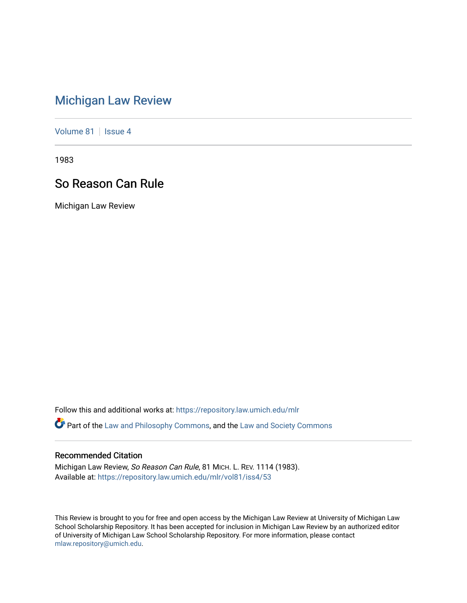## [Michigan Law Review](https://repository.law.umich.edu/mlr)

[Volume 81](https://repository.law.umich.edu/mlr/vol81) | [Issue 4](https://repository.law.umich.edu/mlr/vol81/iss4)

1983

## So Reason Can Rule

Michigan Law Review

Follow this and additional works at: [https://repository.law.umich.edu/mlr](https://repository.law.umich.edu/mlr?utm_source=repository.law.umich.edu%2Fmlr%2Fvol81%2Fiss4%2F53&utm_medium=PDF&utm_campaign=PDFCoverPages) 

Part of the [Law and Philosophy Commons,](http://network.bepress.com/hgg/discipline/1299?utm_source=repository.law.umich.edu%2Fmlr%2Fvol81%2Fiss4%2F53&utm_medium=PDF&utm_campaign=PDFCoverPages) and the [Law and Society Commons](http://network.bepress.com/hgg/discipline/853?utm_source=repository.law.umich.edu%2Fmlr%2Fvol81%2Fiss4%2F53&utm_medium=PDF&utm_campaign=PDFCoverPages) 

## Recommended Citation

Michigan Law Review, So Reason Can Rule, 81 MICH. L. REV. 1114 (1983). Available at: [https://repository.law.umich.edu/mlr/vol81/iss4/53](https://repository.law.umich.edu/mlr/vol81/iss4/53?utm_source=repository.law.umich.edu%2Fmlr%2Fvol81%2Fiss4%2F53&utm_medium=PDF&utm_campaign=PDFCoverPages) 

This Review is brought to you for free and open access by the Michigan Law Review at University of Michigan Law School Scholarship Repository. It has been accepted for inclusion in Michigan Law Review by an authorized editor of University of Michigan Law School Scholarship Repository. For more information, please contact [mlaw.repository@umich.edu.](mailto:mlaw.repository@umich.edu)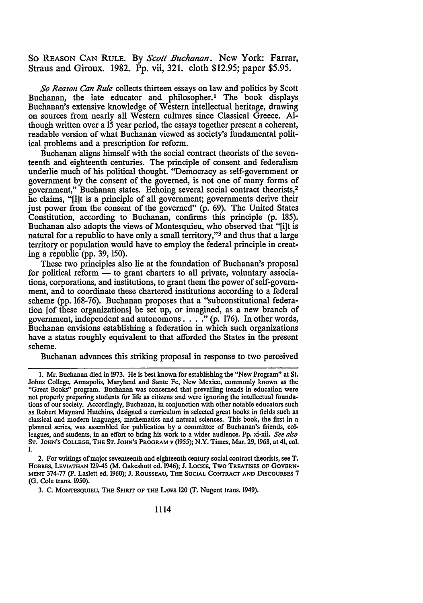So REASON CAN RULE. By *Scott Buchanan.* New York: Farrar, Straus and Giroux. 1982. Pp. vii, 321. cloth \$12.95; paper \$5.95.

*So Reason Can Rule* collects thirteen essays on law and politics by Scott Buchanan, the late educator and philosopher.<sup>1</sup> The book displays Buchanan's extensive knowledge of Western intellectual heritage, drawing on sources from nearly all Western cultures since Classical Greece. Although written over a 15 year period, the essays together present a coherent, readable version of what Buchanan viewed as society's fundamental political problems and a prescription for reform.

Buchanan aligns himself with the social contract theorists of the seventeenth and eighteenth centuries. The principle of consent and federalism underlie much of his political thought. "Democracy as self-government or government by the consent of the governed, is not one of many forms of government," Buchanan states. Echoing several social contract theorists,2 he claims, "[I]t is a principle of all government; governments derive their just power from the consent of the governed" (p. 69). The United States Constitution, according to Buchanan, confirms this principle (p. 185). Buchanan also adopts the views of Montesquieu, who observed that "[i]t is natural for a republic to have only a small territory,"<sup>3</sup> and thus that a large territory or population would have to employ the federal principle in creating a republic (pp. 39, 150).

These two principles also lie at the foundation of Buchanan's proposal for political reform  $-$  to grant charters to all private, voluntary associations, corporations, and institutions, to grant them the power of self-government, and to coordinate these chartered institutions according to a federal scheme (pp. 168-76). Buchanan proposes that a "subconstitutional federation [of these organizations] be set up, or imagined, as a new branch of government, independent and autonomous . . . ." (p. 176). In other words, Buchanan envisions establishing a federation in which such organizations have a status roughly equivalent to that afforded the States in the present scheme.

Buchanan advances this striking proposal in response to two perceived

3. C. MONTESQUIEU, THE SPIRIT OF THE LAWS 120 (T, Nugent trans. 1949).

I. Mr. Buchanan died in 1973. He is best known for establishing the "New Program" at St. Johns College, Annapolis, Maryland and Sante Fe, New Mexico, commonly known as the "Great Books" program. Buchanan was concerned that prevailing trends in education were not properly preparing students for life as citizens and were ignoring the intellectual foundations of our society. Accordingly, Buchanan, in conjunction with other notable educators such as Robert Maynard Hutchins, designed a curriculum in selected great books in fields such as classical and modem languages, mathematics and natural sciences. This book, the first in a planned series, was assembled for publication by a committee of Buchanan's friends, colleagues, and students, in an effort to bring his work to a wider audience. Pp. xi-xii. *See also*  ST. JOHN'S COLLEGE, THE ST. JOHN'S PROGRAM v (1955); **N.Y.** Times, Mar. 29, 1968, at 41, col. I.

<sup>2.</sup> For writings of major seventeenth and eighteenth century social contract theorists, see T, HOBBES, LEVIATHAN 129-45 (M. Oakeshott ed. 1946); J. LOCKE, Two TREATISES OF GOVERN-MENT 374-77 (P. Laslett ed.1960); J. ROUSSEAU, THE SOCIAL CONTRACT AND DISCOURSES 7 (G. Cole trans. 1950).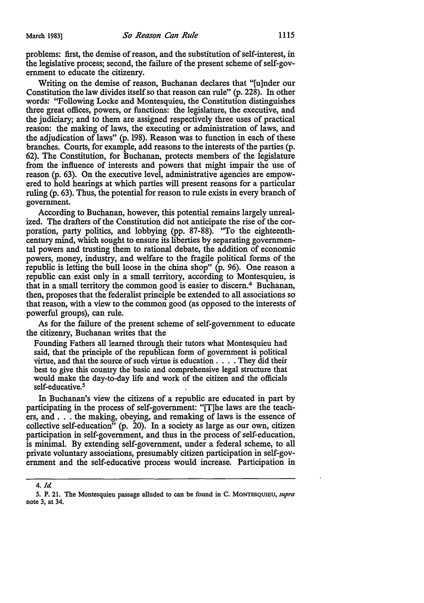problems: first, the demise of reason, and the substitution of self-interest, in the legislative process; second, the failure of the present scheme of self-government to educate the citizenry.

Writing on the demise of reason, Buchanan declares that "[u]nder our Constitution the law divides itself so that reason can rule" (p. 228). In other words: "Following Locke and Montesquieu, the Constitution distinguishes three great offices, powers, or functions: the legislature, the executive, and the judiciary; and to them are assigned respectively three uses of practical reason: the making of laws, the executing or administration of laws, and the adjudication of laws" (p. 198). Reason was to function in each of these branches. Courts, for example, add reasons to the interests of the parties (p. 62). The Constitution, for Buchanan, protects members of the legislature from the influence of interests and powers that might impair the use of reason (p. 63). On the executive level, administrative agencies are empowered to hold hearings at which parties will present reasons for a particular ruling (p. 63). Thus, the potential for reason to rule exists in every branch of government.

According to Buchanan, however, this potential remains largely unrealized. The drafters of the Constitution did not anticipate the rise of the corporation, party politics, and lobbying (pp. 87-88). ''To the eighteenthcentury mind, which sought to ensure its liberties by separating governmental powers and trusting them to rational debate, the addition of economic powers, money, industry, and welfare to the fragile political forms of the republic is letting the bull loose in the china shop" (p. 96). One reason a republic can exist only in a small territory, according to Montesquieu, is that in a small territory the common good is easier to discern.<sup>4</sup> Buchanan, then, proposes that the federalist principle be extended to all associations so that reason, with a view to the common good (as opposed to the interests of powerful groups), can rule.

As for the failure of the present scheme of self-government to educate the citizenry, Buchanan writes that the

Founding Fathers all learned through their tutors what Montesquieu had said, that the principle of the republican form of government is political virtue, and that the source of such virtue is education . . . . They did their best to give this country the basic and comprehensive legal structure that would make the day-to-day life and work of the citizen and the officials self-educative.<sup>5</sup>

In Buchanan's view the citizens of a republic are educated in part by participating in the process of self-government: "[T]he laws are the teachers, and . . . the making, obeying, and remaking of laws is the essence of collective self-education" (p. 20). In a society as large as our own, citizen participation in self-government, and thus in the process of self-education, is minimal. By extending self-government, under a federal scheme, to all private voluntary associations, presumably citizen participation in self-government and the self-educative process would increase. Participation in

<sup>4.</sup> *Id.* 

*<sup>5.</sup>* P. 21. The Montesquieu passage alluded to can be found in C. MONTESQUIEU, *supra*  note 3, at 34.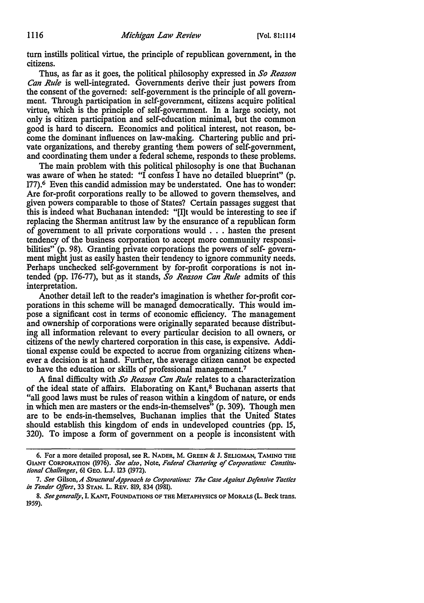tum instills political virtue, the principle of republican government, in the citizens.

Thus, as far as it goes, the political philosophy expressed in *So Reason Can Rule* is well-integrated. Governments derive their just powers from the consent of the governed: self-government is the principle of all government. Through participation in self-government, citizens acquire political virtue, which is the principle of self-government. In a large society, not only is citizen participation and self-education minimal, but the common good is hard to discern. Economics and political interest, not reason, become the dominant influences on law-making. Chartering public and private organizations, and thereby granting them powers of self-government, and coordinating them under a federal scheme, responds to these problems.

The main problem with this political philosophy is one that Buchanan was aware of when he stated: "I confess I have no detailed blueprint" (p. 177).<sup>6</sup> Even this candid admission may be understated. One has to wonder: Are for-profit corporations really to be allowed to govern themselves, and given powers comparable to those of States? Certain passages suggest that this is indeed what Buchanan intended: "[I]t would be interesting to see if replacing the Sherman antitrust law by the ensurance of a republican form of government to all private corporations would . . . hasten the present tendency of the business corporation to accept more community responsibilities" (p. 98). Granting private corporations the powers of self- government might just as easily hasten their tendency to ignore community needs. Perhaps unchecked self-government by for-profit corporations is not intended (pp. 176-77), but \_as it stands, *So Reason Can Rule* admits of this interpretation.

Another detail left to the reader's imagination is whether for-profit corporations in this scheme will be managed democratically. This would impose a significant cost in terms of economic efficiency. The management and ownership of corporations were originally separated because distributing all information relevant to every particular decision to all owners, or citizens of the newly chartered corporation in this case, is expensive. Additional expense could be expected to accrue from organizing citizens whenever a decision is at hand. Further, the average citizen cannot be expected to have the education or skills of professional management.7

A final difficulty with *So Reason Can Rule* relates to a characterization of the ideal state of affairs. Elaborating on Kant,<sup>8</sup> Buchanan asserts that "all good laws must be rules of reason within a kingdom of nature, or ends in which men are masters or the ends-in-themselves" (p. 309). Though men are to be ends-in-themselves, Buchanan implies that the United States should establish this kingdom of ends in undeveloped countries (pp. 15, 320). To impose a form of government on a people is inconsistent with

<sup>6.</sup> For a more detailed proposal, see R. NADER, M. GREEN & J. SELIGMAN, TAMING THE GIANT CORPORATION (1976). *See also,* Note, *Federal Chartering of Corporations: Constitutional Challenges,* 61 GEO. LJ. *U3* (1972).

<sup>7.</sup> *See* Gilson, *A Structural Approach to Corporations: The Case Against JJefensive Tactics in Tender Offers,* 33 STAN. L. REV. 819, 834 (1981).

<sup>8.</sup> *See generally,* I. KANT, FOUNDATIONS OF THE METAPHYSICS OF MORALS (L. Beck trans. 1959).